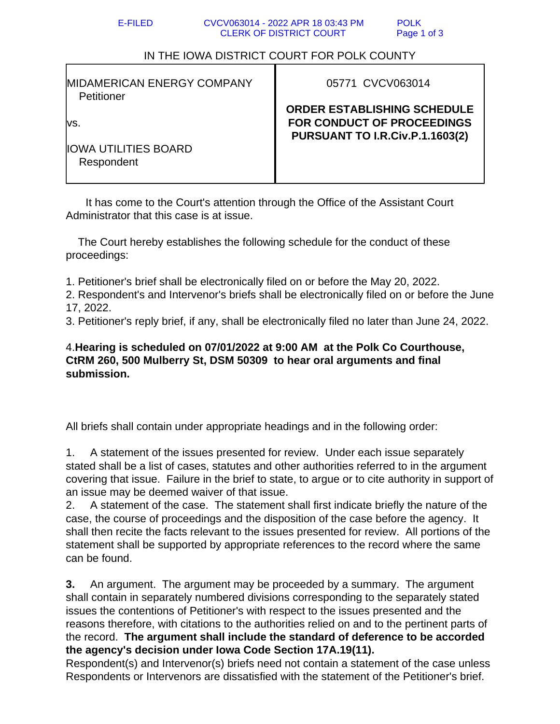## IN THE IOWA DISTRICT COURT FOR POLK COUNTY

| <b>IMIDAMERICAN ENERGY COMPANY</b><br>Petitioner   | 05771 CVCV063014                                                                                                  |
|----------------------------------------------------|-------------------------------------------------------------------------------------------------------------------|
| lVS.<br><b>IIOWA UTILITIES BOARD</b><br>Respondent | <b>ORDER ESTABLISHING SCHEDULE</b><br><b>FOR CONDUCT OF PROCEEDINGS</b><br><b>PURSUANT TO I.R.Civ.P.1.1603(2)</b> |
|                                                    |                                                                                                                   |

 It has come to the Court's attention through the Office of the Assistant Court Administrator that this case is at issue.

 The Court hereby establishes the following schedule for the conduct of these proceedings:

1. Petitioner's brief shall be electronically filed on or before the May 20, 2022.

2. Respondent's and Intervenor's briefs shall be electronically filed on or before the June 17, 2022.

3. Petitioner's reply brief, if any, shall be electronically filed no later than June 24, 2022.

## 4.**Hearing is scheduled on 07/01/2022 at 9:00 AM at the Polk Co Courthouse, CtRM 260, 500 Mulberry St, DSM 50309 to hear oral arguments and final submission.**

All briefs shall contain under appropriate headings and in the following order:

1. A statement of the issues presented for review. Under each issue separately stated shall be a list of cases, statutes and other authorities referred to in the argument covering that issue. Failure in the brief to state, to argue or to cite authority in support of an issue may be deemed waiver of that issue.

2. A statement of the case. The statement shall first indicate briefly the nature of the case, the course of proceedings and the disposition of the case before the agency. It shall then recite the facts relevant to the issues presented for review. All portions of the statement shall be supported by appropriate references to the record where the same can be found.

**3.** An argument. The argument may be proceeded by a summary. The argument shall contain in separately numbered divisions corresponding to the separately stated issues the contentions of Petitioner's with respect to the issues presented and the reasons therefore, with citations to the authorities relied on and to the pertinent parts of the record. **The argument shall include the standard of deference to be accorded the agency's decision under Iowa Code Section 17A.19(11).**

Respondent(s) and Intervenor(s) briefs need not contain a statement of the case unless Respondents or Intervenors are dissatisfied with the statement of the Petitioner's brief.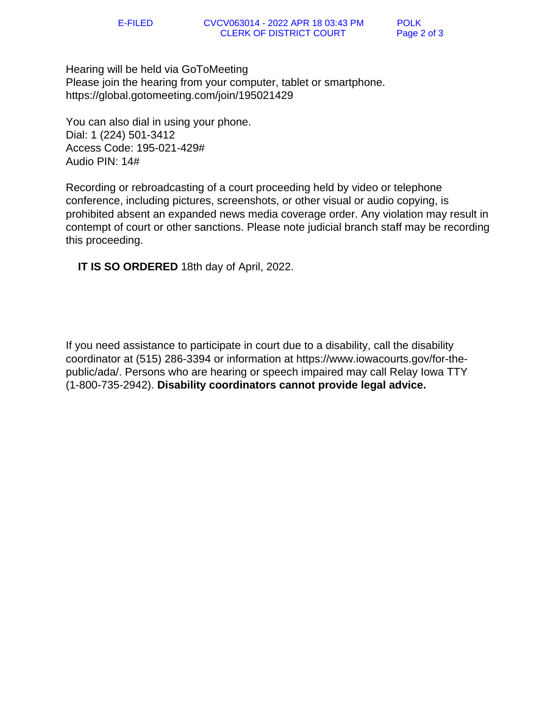Hearing will be held via GoToMeeting Please join the hearing from your computer, tablet or smartphone. https://global.gotomeeting.com/join/195021429

You can also dial in using your phone. Dial: 1 (224) 501-3412 Access Code: 195-021-429# Audio PIN: 14#

Recording or rebroadcasting of a court proceeding held by video or telephone conference, including pictures, screenshots, or other visual or audio copying, is prohibited absent an expanded news media coverage order. Any violation may result in contempt of court or other sanctions. Please note judicial branch staff may be recording this proceeding.

 **IT IS SO ORDERED** 18th day of April, 2022.

If you need assistance to participate in court due to a disability, call the disability coordinator at (515) 286-3394 or information at https://www.iowacourts.gov/for-thepublic/ada/. Persons who are hearing or speech impaired may call Relay Iowa TTY (1-800-735-2942). **Disability coordinators cannot provide legal advice.**